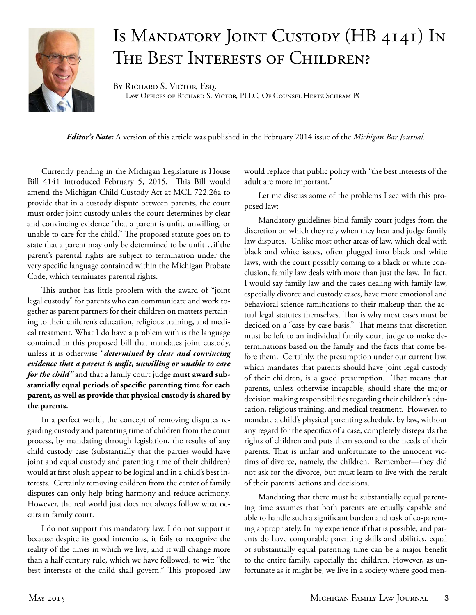

## Is Mandatory Joint Custody (HB 4141) In THE BEST INTERESTS OF CHILDREN?

BY RICHARD S. VICTOR, Esq. Law Offices of Richard S. Victor, PLLC, Of Counsel Hertz Schram PC

 *Editor's Note:* A version of this article was published in the February 2014 issue of the *Michigan Bar Journal.*

Currently pending in the Michigan Legislature is House Bill 4141 introduced February 5, 2015. This Bill would amend the Michigan Child Custody Act at MCL 722.26a to provide that in a custody dispute between parents, the court must order joint custody unless the court determines by clear and convincing evidence "that a parent is unfit, unwilling, or unable to care for the child." The proposed statute goes on to state that a parent may only be determined to be unfit…if the parent's parental rights are subject to termination under the very specific language contained within the Michigan Probate Code, which terminates parental rights.

This author has little problem with the award of "joint legal custody" for parents who can communicate and work together as parent partners for their children on matters pertaining to their children's education, religious training, and medical treatment. What I do have a problem with is the language contained in this proposed bill that mandates joint custody, unless it is otherwise "*determined by clear and convincing evidence that a parent is unfit, unwilling or unable to care for the child"* and that a family court judge **must award substantially equal periods of specific parenting time for each parent, as well as provide that physical custody is shared by the parents.** 

In a perfect world, the concept of removing disputes regarding custody and parenting time of children from the court process, by mandating through legislation, the results of any child custody case (substantially that the parties would have joint and equal custody and parenting time of their children) would at first blush appear to be logical and in a child's best interests. Certainly removing children from the center of family disputes can only help bring harmony and reduce acrimony. However, the real world just does not always follow what occurs in family court.

I do not support this mandatory law. I do not support it because despite its good intentions, it fails to recognize the reality of the times in which we live, and it will change more than a half century rule, which we have followed, to wit: "the best interests of the child shall govern." This proposed law would replace that public policy with "the best interests of the adult are more important."

Let me discuss some of the problems I see with this proposed law:

Mandatory guidelines bind family court judges from the discretion on which they rely when they hear and judge family law disputes. Unlike most other areas of law, which deal with black and white issues, often plugged into black and white laws, with the court possibly coming to a black or white conclusion, family law deals with more than just the law. In fact, I would say family law and the cases dealing with family law, especially divorce and custody cases, have more emotional and behavioral science ramifications to their makeup than the actual legal statutes themselves. That is why most cases must be decided on a "case-by-case basis." That means that discretion must be left to an individual family court judge to make determinations based on the family and the facts that come before them. Certainly, the presumption under our current law, which mandates that parents should have joint legal custody of their children, is a good presumption. That means that parents, unless otherwise incapable, should share the major decision making responsibilities regarding their children's education, religious training, and medical treatment. However, to mandate a child's physical parenting schedule, by law, without any regard for the specifics of a case, completely disregards the rights of children and puts them second to the needs of their parents. That is unfair and unfortunate to the innocent victims of divorce, namely, the children. Remember—they did not ask for the divorce, but must learn to live with the result of their parents' actions and decisions.

Mandating that there must be substantially equal parenting time assumes that both parents are equally capable and able to handle such a significant burden and task of co-parenting appropriately. In my experience if that is possible, and parents do have comparable parenting skills and abilities, equal or substantially equal parenting time can be a major benefit to the entire family, especially the children. However, as unfortunate as it might be, we live in a society where good men-